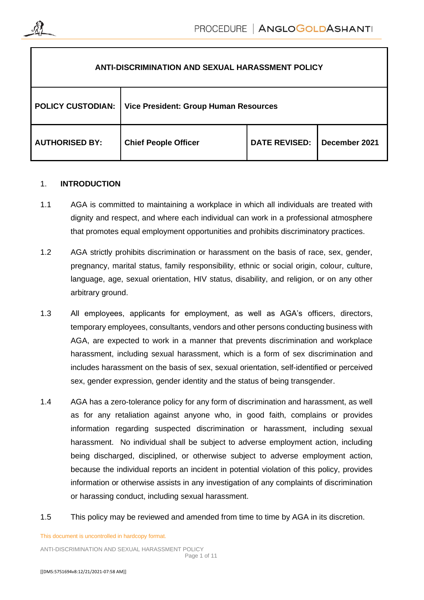

| <b>ANTI-DISCRIMINATION AND SEXUAL HARASSMENT POLICY</b> |                                              |                      |               |
|---------------------------------------------------------|----------------------------------------------|----------------------|---------------|
| <b>POLICY CUSTODIAN:</b>                                | <b>Vice President: Group Human Resources</b> |                      |               |
| <b>AUTHORISED BY:</b>                                   | <b>Chief People Officer</b>                  | <b>DATE REVISED:</b> | December 2021 |

## 1. **INTRODUCTION**

- 1.1 AGA is committed to maintaining a workplace in which all individuals are treated with dignity and respect, and where each individual can work in a professional atmosphere that promotes equal employment opportunities and prohibits discriminatory practices.
- <span id="page-0-0"></span>1.2 AGA strictly prohibits discrimination or harassment on the basis of race, sex, gender, pregnancy, marital status, family responsibility, ethnic or social origin, colour, culture, language, age, sexual orientation, HIV status, disability, and religion, or on any other arbitrary ground.
- 1.3 All employees, applicants for employment, as well as AGA's officers, directors, temporary employees, consultants, vendors and other persons conducting business with AGA, are expected to work in a manner that prevents discrimination and workplace harassment, including sexual harassment, which is a form of sex discrimination and includes harassment on the basis of sex, sexual orientation, self-identified or perceived sex, gender expression, gender identity and the status of being transgender.
- 1.4 AGA has a zero-tolerance policy for any form of discrimination and harassment, as well as for any retaliation against anyone who, in good faith, complains or provides information regarding suspected discrimination or harassment, including sexual harassment. No individual shall be subject to adverse employment action, including being discharged, disciplined, or otherwise subject to adverse employment action, because the individual reports an incident in potential violation of this policy, provides information or otherwise assists in any investigation of any complaints of discrimination or harassing conduct, including sexual harassment.
- 1.5 This policy may be reviewed and amended from time to time by AGA in its discretion.

This document is uncontrolled in hardcopy format.

ANTI-DISCRIMINATION AND SEXUAL HARASSMENT POLICY Page 1 of 11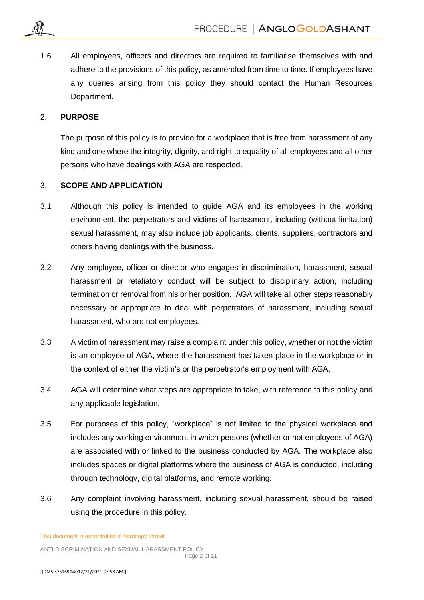1.6 All employees, officers and directors are required to familiarise themselves with and adhere to the provisions of this policy, as amended from time to time. If employees have any queries arising from this policy they should contact the Human Resources Department.

### 2. **PURPOSE**

The purpose of this policy is to provide for a workplace that is free from harassment of any kind and one where the integrity, dignity, and right to equality of all employees and all other persons who have dealings with AGA are respected.

# 3. **SCOPE AND APPLICATION**

- 3.1 Although this policy is intended to guide AGA and its employees in the working environment, the perpetrators and victims of harassment, including (without limitation) sexual harassment, may also include job applicants, clients, suppliers, contractors and others having dealings with the business.
- 3.2 Any employee, officer or director who engages in discrimination, harassment, sexual harassment or retaliatory conduct will be subject to disciplinary action, including termination or removal from his or her position. AGA will take all other steps reasonably necessary or appropriate to deal with perpetrators of harassment, including sexual harassment, who are not employees.
- 3.3 A victim of harassment may raise a complaint under this policy, whether or not the victim is an employee of AGA, where the harassment has taken place in the workplace or in the context of either the victim's or the perpetrator's employment with AGA.
- 3.4 AGA will determine what steps are appropriate to take, with reference to this policy and any applicable legislation.
- 3.5 For purposes of this policy, "workplace" is not limited to the physical workplace and includes any working environment in which persons (whether or not employees of AGA) are associated with or linked to the business conducted by AGA. The workplace also includes spaces or digital platforms where the business of AGA is conducted, including through technology, digital platforms, and remote working.
- 3.6 Any complaint involving harassment, including sexual harassment, should be raised using the procedure in this policy.

This document is uncontrolled in hardcopy format.

ANTI-DISCRIMINATION AND SEXUAL HARASSMENT POLICY Page 2 of 11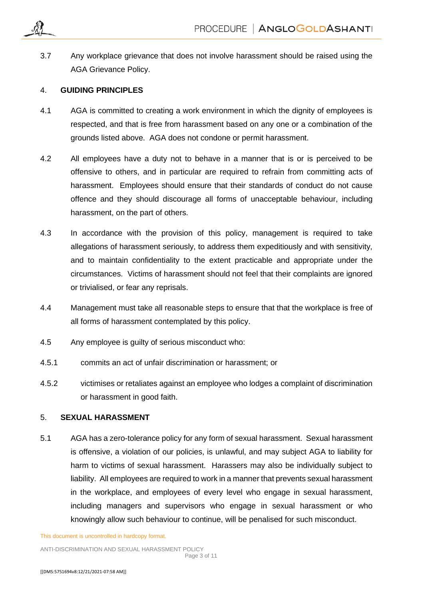

3.7 Any workplace grievance that does not involve harassment should be raised using the AGA Grievance Policy.

### 4. **GUIDING PRINCIPLES**

- 4.1 AGA is committed to creating a work environment in which the dignity of employees is respected, and that is free from harassment based on any one or a combination of the grounds listed above. AGA does not condone or permit harassment.
- 4.2 All employees have a duty not to behave in a manner that is or is perceived to be offensive to others, and in particular are required to refrain from committing acts of harassment. Employees should ensure that their standards of conduct do not cause offence and they should discourage all forms of unacceptable behaviour, including harassment, on the part of others.
- 4.3 In accordance with the provision of this policy, management is required to take allegations of harassment seriously, to address them expeditiously and with sensitivity, and to maintain confidentiality to the extent practicable and appropriate under the circumstances. Victims of harassment should not feel that their complaints are ignored or trivialised, or fear any reprisals.
- 4.4 Management must take all reasonable steps to ensure that that the workplace is free of all forms of harassment contemplated by this policy.
- 4.5 Any employee is guilty of serious misconduct who:
- 4.5.1 commits an act of unfair discrimination or harassment; or
- 4.5.2 victimises or retaliates against an employee who lodges a complaint of discrimination or harassment in good faith.

# 5. **SEXUAL HARASSMENT**

5.1 AGA has a zero-tolerance policy for any form of sexual harassment. Sexual harassment is offensive, a violation of our policies, is unlawful, and may subject AGA to liability for harm to victims of sexual harassment. Harassers may also be individually subject to liability. All employees are required to work in a manner that prevents sexual harassment in the workplace, and employees of every level who engage in sexual harassment, including managers and supervisors who engage in sexual harassment or who knowingly allow such behaviour to continue, will be penalised for such misconduct.

This document is uncontrolled in hardcopy format.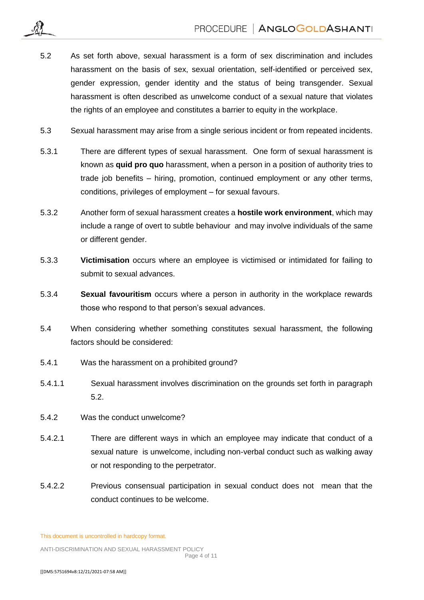- 5.2 As set forth above, sexual harassment is a form of sex discrimination and includes harassment on the basis of sex, sexual orientation, self-identified or perceived sex, gender expression, gender identity and the status of being transgender. Sexual harassment is often described as unwelcome conduct of a sexual nature that violates the rights of an employee and constitutes a barrier to equity in the workplace.
- 5.3 Sexual harassment may arise from a single serious incident or from repeated incidents.
- 5.3.1 There are different types of sexual harassment. One form of sexual harassment is known as **quid pro quo** harassment, when a person in a position of authority tries to trade job benefits – hiring, promotion, continued employment or any other terms, conditions, privileges of employment – for sexual favours.
- 5.3.2 Another form of sexual harassment creates a **hostile work environment**, which may include a range of overt to subtle behaviour and may involve individuals of the same or different gender.
- 5.3.3 **Victimisation** occurs where an employee is victimised or intimidated for failing to submit to sexual advances.
- 5.3.4 **Sexual favouritism** occurs where a person in authority in the workplace rewards those who respond to that person's sexual advances.
- 5.4 When considering whether something constitutes sexual harassment, the following factors should be considered:
- 5.4.1 Was the harassment on a prohibited ground?
- 5.4.1.1 Sexual harassment involves discrimination on the grounds set forth in paragraph 5.2.
- 5.4.2 Was the conduct unwelcome?
- 5.4.2.1 There are different ways in which an employee may indicate that conduct of a sexual nature is unwelcome, including non-verbal conduct such as walking away or not responding to the perpetrator.
- 5.4.2.2 Previous consensual participation in sexual conduct does not mean that the conduct continues to be welcome.

This document is uncontrolled in hardcopy format.

ANTI-DISCRIMINATION AND SEXUAL HARASSMENT POLICY Page 4 of 11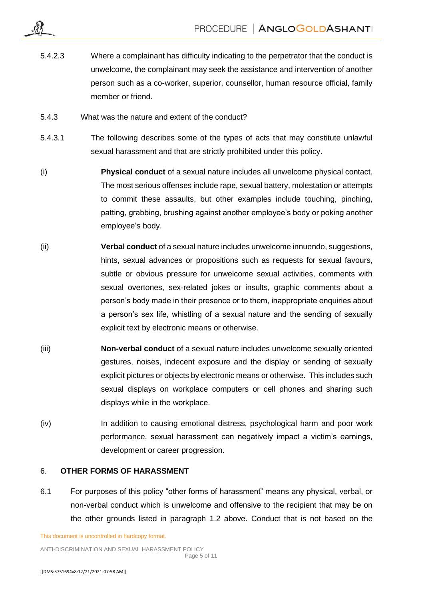- 5.4.2.3 Where a complainant has difficulty indicating to the perpetrator that the conduct is unwelcome, the complainant may seek the assistance and intervention of another person such as a co-worker, superior, counsellor, human resource official, family member or friend.
- 5.4.3 What was the nature and extent of the conduct?
- 5.4.3.1 The following describes some of the types of acts that may constitute unlawful sexual harassment and that are strictly prohibited under this policy.
- (i) **Physical conduct** of a sexual nature includes all unwelcome physical contact. The most serious offenses include rape, sexual battery, molestation or attempts to commit these assaults, but other examples include touching, pinching, patting, grabbing, brushing against another employee's body or poking another employee's body.
- (ii) **Verbal conduct** of a sexual nature includes unwelcome innuendo, suggestions, hints, sexual advances or propositions such as requests for sexual favours, subtle or obvious pressure for unwelcome sexual activities, comments with sexual overtones, sex-related jokes or insults, graphic comments about a person's body made in their presence or to them, inappropriate enquiries about a person's sex life, whistling of a sexual nature and the sending of sexually explicit text by electronic means or otherwise.
- (iii) **Non-verbal conduct** of a sexual nature includes unwelcome sexually oriented gestures, noises, indecent exposure and the display or sending of sexually explicit pictures or objects by electronic means or otherwise. This includes such sexual displays on workplace computers or cell phones and sharing such displays while in the workplace.
- (iv) In addition to causing emotional distress, psychological harm and poor work performance, sexual harassment can negatively impact a victim's earnings, development or career progression.

## 6. **OTHER FORMS OF HARASSMENT**

6.1 For purposes of this policy "other forms of harassment" means any physical, verbal, or non-verbal conduct which is unwelcome and offensive to the recipient that may be on the other grounds listed in paragraph [1.2](#page-0-0) above. Conduct that is not based on the

This document is uncontrolled in hardcopy format.

ANTI-DISCRIMINATION AND SEXUAL HARASSMENT POLICY Page 5 of 11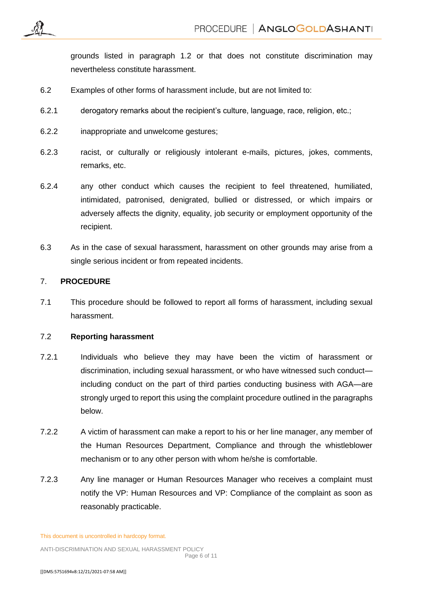grounds listed in paragraph 1.2 or that does not constitute discrimination may nevertheless constitute harassment.

- 6.2 Examples of other forms of harassment include, but are not limited to:
- 6.2.1 derogatory remarks about the recipient's culture, language, race, religion, etc.;
- 6.2.2 inappropriate and unwelcome gestures;
- 6.2.3 racist, or culturally or religiously intolerant e-mails, pictures, jokes, comments, remarks, etc.
- 6.2.4 any other conduct which causes the recipient to feel threatened, humiliated, intimidated, patronised, denigrated, bullied or distressed, or which impairs or adversely affects the dignity, equality, job security or employment opportunity of the recipient.
- 6.3 As in the case of sexual harassment, harassment on other grounds may arise from a single serious incident or from repeated incidents.

## 7. **PROCEDURE**

7.1 This procedure should be followed to report all forms of harassment, including sexual harassment.

## 7.2 **Reporting harassment**

- 7.2.1 Individuals who believe they may have been the victim of harassment or discrimination, including sexual harassment, or who have witnessed such conduct including conduct on the part of third parties conducting business with AGA—are strongly urged to report this using the complaint procedure outlined in the paragraphs below.
- 7.2.2 A victim of harassment can make a report to his or her line manager, any member of the Human Resources Department, Compliance and through the whistleblower mechanism or to any other person with whom he/she is comfortable.
- 7.2.3 Any line manager or Human Resources Manager who receives a complaint must notify the VP: Human Resources and VP: Compliance of the complaint as soon as reasonably practicable.

This document is uncontrolled in hardcopy format.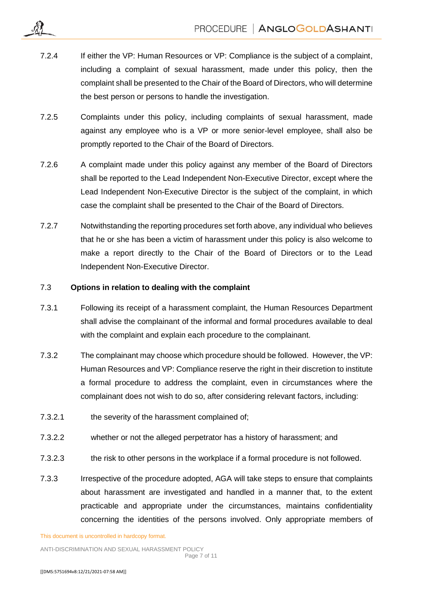- 7.2.4 If either the VP: Human Resources or VP: Compliance is the subject of a complaint, including a complaint of sexual harassment, made under this policy, then the complaint shall be presented to the Chair of the Board of Directors, who will determine the best person or persons to handle the investigation.
- 7.2.5 Complaints under this policy, including complaints of sexual harassment, made against any employee who is a VP or more senior-level employee, shall also be promptly reported to the Chair of the Board of Directors.
- 7.2.6 A complaint made under this policy against any member of the Board of Directors shall be reported to the Lead Independent Non-Executive Director, except where the Lead Independent Non-Executive Director is the subject of the complaint, in which case the complaint shall be presented to the Chair of the Board of Directors.
- 7.2.7 Notwithstanding the reporting procedures set forth above, any individual who believes that he or she has been a victim of harassment under this policy is also welcome to make a report directly to the Chair of the Board of Directors or to the Lead Independent Non-Executive Director.

#### 7.3 **Options in relation to dealing with the complaint**

- 7.3.1 Following its receipt of a harassment complaint, the Human Resources Department shall advise the complainant of the informal and formal procedures available to deal with the complaint and explain each procedure to the complainant.
- 7.3.2 The complainant may choose which procedure should be followed. However, the VP: Human Resources and VP: Compliance reserve the right in their discretion to institute a formal procedure to address the complaint, even in circumstances where the complainant does not wish to do so, after considering relevant factors, including:
- 7.3.2.1 the severity of the harassment complained of;
- 7.3.2.2 whether or not the alleged perpetrator has a history of harassment; and
- 7.3.2.3 the risk to other persons in the workplace if a formal procedure is not followed.
- 7.3.3 Irrespective of the procedure adopted, AGA will take steps to ensure that complaints about harassment are investigated and handled in a manner that, to the extent practicable and appropriate under the circumstances, maintains confidentiality concerning the identities of the persons involved. Only appropriate members of

This document is uncontrolled in hardcopy format.

ANTI-DISCRIMINATION AND SEXUAL HARASSMENT POLICY Page 7 of 11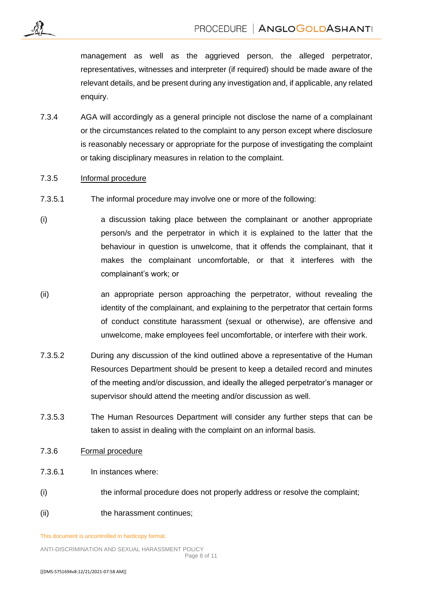management as well as the aggrieved person, the alleged perpetrator, representatives, witnesses and interpreter (if required) should be made aware of the relevant details, and be present during any investigation and, if applicable, any related enquiry.

7.3.4 AGA will accordingly as a general principle not disclose the name of a complainant or the circumstances related to the complaint to any person except where disclosure is reasonably necessary or appropriate for the purpose of investigating the complaint or taking disciplinary measures in relation to the complaint.

#### 7.3.5 Informal procedure

- 7.3.5.1 The informal procedure may involve one or more of the following:
- (i) a discussion taking place between the complainant or another appropriate person/s and the perpetrator in which it is explained to the latter that the behaviour in question is unwelcome, that it offends the complainant, that it makes the complainant uncomfortable, or that it interferes with the complainant's work; or
- (ii) an appropriate person approaching the perpetrator, without revealing the identity of the complainant, and explaining to the perpetrator that certain forms of conduct constitute harassment (sexual or otherwise), are offensive and unwelcome, make employees feel uncomfortable, or interfere with their work.
- 7.3.5.2 During any discussion of the kind outlined above a representative of the Human Resources Department should be present to keep a detailed record and minutes of the meeting and/or discussion, and ideally the alleged perpetrator's manager or supervisor should attend the meeting and/or discussion as well.
- 7.3.5.3 The Human Resources Department will consider any further steps that can be taken to assist in dealing with the complaint on an informal basis.

### 7.3.6 Formal procedure

- 7.3.6.1 In instances where:
- (i) the informal procedure does not properly address or resolve the complaint;
- (ii) the harassment continues:

This document is uncontrolled in hardcopy format.

ANTI-DISCRIMINATION AND SEXUAL HARASSMENT POLICY Page 8 of 11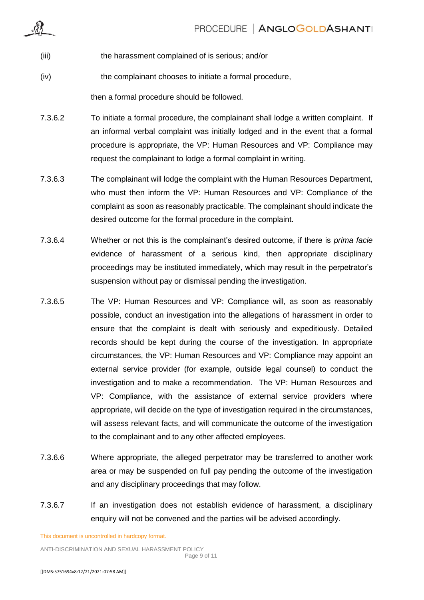|         | PROCEDURE   ANGLOGOLDASHANTI                                                                                                                                                                                                                                                                                           |
|---------|------------------------------------------------------------------------------------------------------------------------------------------------------------------------------------------------------------------------------------------------------------------------------------------------------------------------|
| (iii)   | the harassment complained of is serious; and/or                                                                                                                                                                                                                                                                        |
| (iv)    | the complainant chooses to initiate a formal procedure,                                                                                                                                                                                                                                                                |
|         | then a formal procedure should be followed.                                                                                                                                                                                                                                                                            |
| 7.3.6.2 | To initiate a formal procedure, the complainant shall lodge a written complaint. If<br>an informal verbal complaint was initially lodged and in the event that a formal<br>procedure is appropriate, the VP: Human Resources and VP: Compliance may<br>request the complainant to lodge a formal complaint in writing. |
| 7.3.6.3 | The complainant will lodge the complaint with the Human Resources Department,<br>who must then inform the VP: Human Resources and VP: Compliance of the<br>complaint as soon as reasonably practicable. The complainant should indicate the<br>desired outcome for the formal procedure in the complaint.              |
| 7.3.6.4 | Whether or not this is the complainant's desired outcome, if there is prima facie<br>evidence of harassment of a serious kind, then appropriate disciplinary<br>proceedings may be instituted immediately, which may result in the perpetrator's<br>suspension without pay or dismissal pending the investigation.     |
| 7.3.6.5 | The VP: Human Resources and VP: Compliance will, as soon as reasonably<br>possible, conduct an investigation into the allegations of harassment in order to<br>ensure that the complaint is dealt with seriously and expeditiously. Detailed                                                                           |

- records should be kept during the course of the investigation. In appropriate circumstances, the VP: Human Resources and VP: Compliance may appoint an external service provider (for example, outside legal counsel) to conduct the investigation and to make a recommendation. The VP: Human Resources and VP: Compliance, with the assistance of external service providers where appropriate, will decide on the type of investigation required in the circumstances, will assess relevant facts, and will communicate the outcome of the investigation to the complainant and to any other affected employees.
- 7.3.6.6 Where appropriate, the alleged perpetrator may be transferred to another work area or may be suspended on full pay pending the outcome of the investigation and any disciplinary proceedings that may follow.
- 7.3.6.7 If an investigation does not establish evidence of harassment, a disciplinary enquiry will not be convened and the parties will be advised accordingly.

This document is uncontrolled in hardcopy format.

ANTI-DISCRIMINATION AND SEXUAL HARASSMENT POLICY Page 9 of 11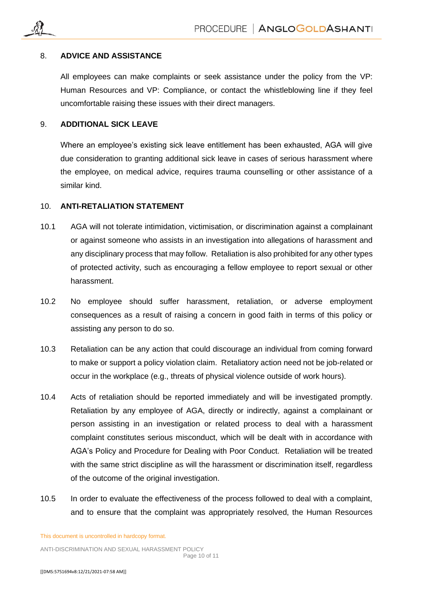

#### 8. **ADVICE AND ASSISTANCE**

All employees can make complaints or seek assistance under the policy from the VP: Human Resources and VP: Compliance, or contact the whistleblowing line if they feel uncomfortable raising these issues with their direct managers.

#### 9. **ADDITIONAL SICK LEAVE**

Where an employee's existing sick leave entitlement has been exhausted, AGA will give due consideration to granting additional sick leave in cases of serious harassment where the employee, on medical advice, requires trauma counselling or other assistance of a similar kind.

#### 10. **ANTI-RETALIATION STATEMENT**

- 10.1 AGA will not tolerate intimidation, victimisation, or discrimination against a complainant or against someone who assists in an investigation into allegations of harassment and any disciplinary process that may follow. Retaliation is also prohibited for any other types of protected activity, such as encouraging a fellow employee to report sexual or other harassment.
- 10.2 No employee should suffer harassment, retaliation, or adverse employment consequences as a result of raising a concern in good faith in terms of this policy or assisting any person to do so.
- 10.3 Retaliation can be any action that could discourage an individual from coming forward to make or support a policy violation claim. Retaliatory action need not be job-related or occur in the workplace (e.g., threats of physical violence outside of work hours).
- 10.4 Acts of retaliation should be reported immediately and will be investigated promptly. Retaliation by any employee of AGA, directly or indirectly, against a complainant or person assisting in an investigation or related process to deal with a harassment complaint constitutes serious misconduct, which will be dealt with in accordance with AGA's Policy and Procedure for Dealing with Poor Conduct. Retaliation will be treated with the same strict discipline as will the harassment or discrimination itself, regardless of the outcome of the original investigation.
- 10.5 In order to evaluate the effectiveness of the process followed to deal with a complaint, and to ensure that the complaint was appropriately resolved, the Human Resources

This document is uncontrolled in hardcopy format.

ANTI-DISCRIMINATION AND SEXUAL HARASSMENT POLICY Page 10 of 11